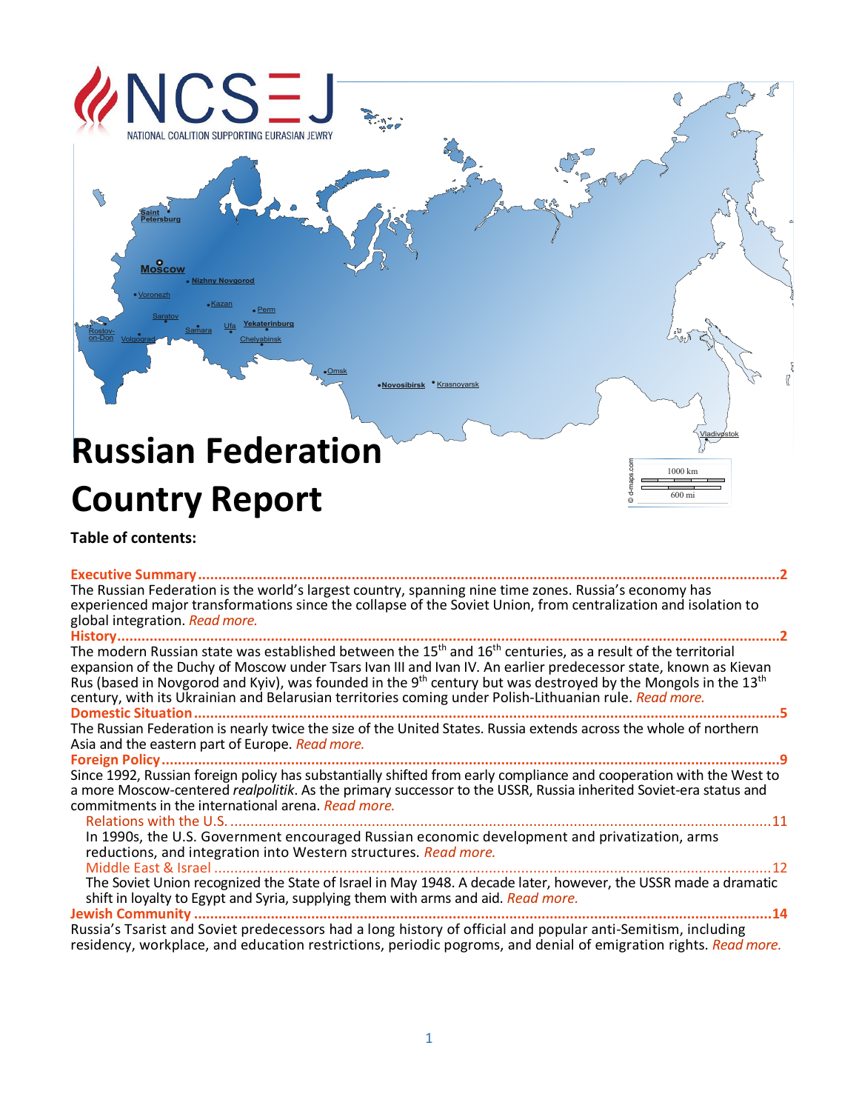# $\mathcal{L}$ VATIONAL COALITION SUPPORTING EURASIAN JEWRY **Saint Petersburg Moscow Nizhny Novgorod** Kazan Perm Saratov **Yekaterinburg** Ufa <u>Samara</u> Rostovon-Don Volgograd **Chelyabinsk** Omsk **Krasnoyarsk Novosibirsk Russian Federation**  d-maps.com 1000 km **Country Report** 600 mi ©**Table of contents: [Executive Summary................................................................................................................................................2](#page-0-0)** The Russian Federation is the world's largest country, spanning nine time zones. Russia's economy has experienced major transformations since the collapse of the Soviet Union, from centralization and isolation to global integration. *[Read more.](#page-0-0)* **[History....................................................................................................................................................................2](#page-2-0)**

<span id="page-0-0"></span>The modern Russian state was established between the 15th and 16th centuries, as a result of the territorial expansion of the Duchy of Moscow under Tsars Ivan III and Ivan IV. An earlier predecessor state, known as Kievan Rus (based in Novgorod and Kyiv), was founded in the 9<sup>th</sup> century but was destroyed by the Mongols in the 13<sup>th</sup> century, with its Ukrainian and Belarusian territories coming under Polish-Lithuanian rule. *[Read more.](#page-2-0)*

**[Domestic Situation.................................................................................................................................................5](#page-4-0)** The Russian Federation is nearly twice the size of the United States. Russia extends across the whole of northern Asia and the eastern part of Europe. *[Read more.](#page-4-0)*

**[Foreign Policy.........................................................................................................................................................9](#page-8-0)** Since 1992, Russian foreign policy has substantially shifted from early compliance and cooperation with the West to a more Moscow-centered *realpolitik*. As the primary successor to the USSR, Russia inherited Soviet-era status and commitments in the international arena. *[Read more.](#page-8-0)*

Relations with the U.S. [......................................................................................................................................11](#page-8-1) In 1990s, the U.S. Government encouraged Russian economic development and privatization, arms reductions, and integration into Western structures. *[Read more.](#page-8-1)* Middle East & Israel [..........................................................................................................................................12](#page-9-0)

The Soviet Union recognized the State of Israel in May 1948. A decade later, however, the USSR made a dramatic shift in loyalty to Egypt and Syria, supplying them with arms and aid. *[Read more.](#page-9-0)*

**Jewish Community [...............................................................................................................................................14](#page-11-0)** Russia's Tsarist and Soviet predecessors had a long history of official and popular anti-Semitism, including residency, workplace, and education restrictions, periodic pogroms, and denial of emigration rights. *[Read more.](#page-11-0)*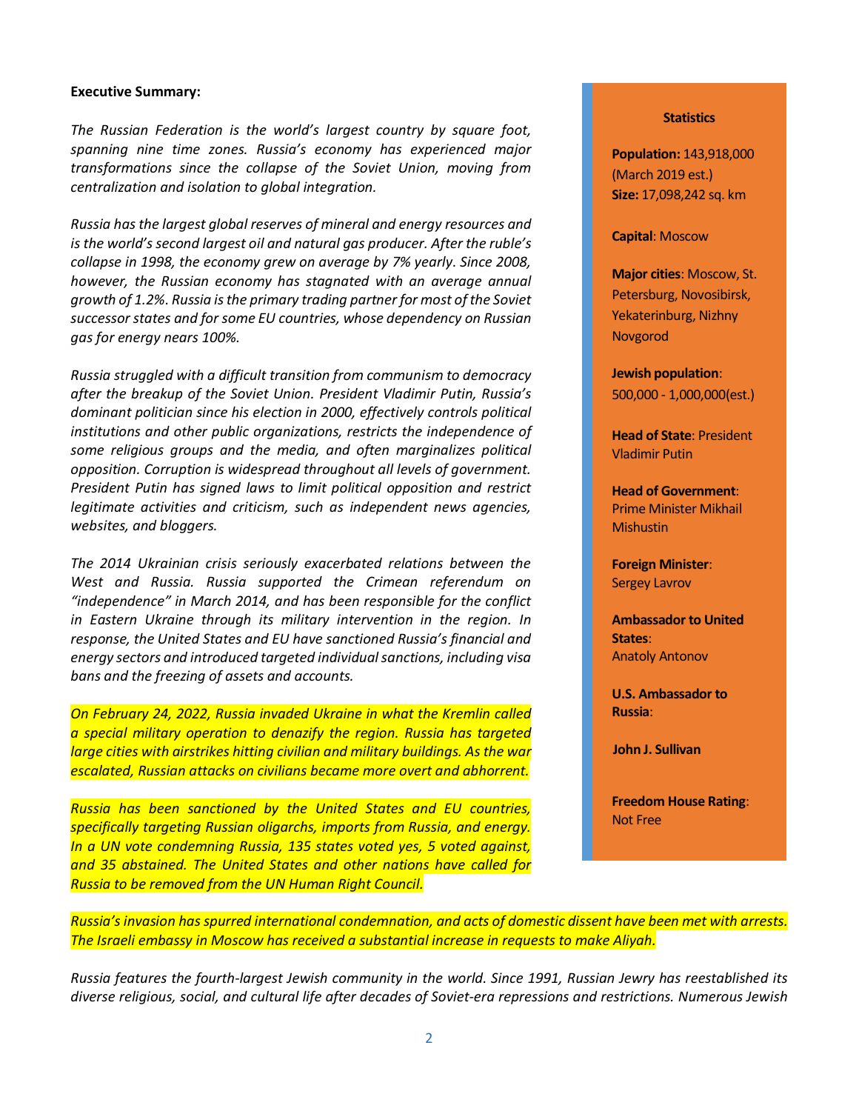#### **Executive Summary:**

*The Russian Federation is the world's largest country by square foot, spanning nine time zones. Russia's economy has experienced major transformations since the collapse of the Soviet Union, moving from centralization and isolation to global integration.* 

*Russia has the largest global reserves of mineral and energy resources and is the world's second largest oil and natural gas producer. After the ruble's collapse in 1998, the economy grew on average by 7% yearly*. *Since 2008, however, the Russian economy has stagnated with an average annual growth of 1.2%*. *Russia is the primary trading partner for most of the Soviet successor states and for some EU countries, whose dependency on Russian gas for energy nears 100%.*

*Russia struggled with a difficult transition from communism to democracy after the breakup of the Soviet Union. President Vladimir Putin, Russia's dominant politician since his election in 2000, effectively controls political institutions and other public organizations, restricts the independence of some religious groups and the media, and often marginalizes political opposition. Corruption is widespread throughout all levels of government. President Putin has signed laws to limit political opposition and restrict legitimate activities and criticism, such as independent news agencies, websites, and bloggers.*

*The 2014 Ukrainian crisis seriously exacerbated relations between the West and Russia. Russia supported the Crimean referendum on "independence" in March 2014, and has been responsible for the conflict in Eastern Ukraine through its military intervention in the region. In response, the United States and EU have sanctioned Russia's financial and energy sectors and introduced targeted individual sanctions, including visa bans and the freezing of assets and accounts.*

*On February 24, 2022, Russia invaded Ukraine in what the Kremlin called a special military operation to denazify the region. Russia has targeted large cities with airstrikes hitting civilian and military buildings. As the war escalated, Russian attacks on civilians became more overt and abhorrent.* 

*Russia has been sanctioned by the United States and EU countries, specifically targeting Russian oligarchs, imports from Russia, and energy. In a UN vote condemning Russia, 135 states voted yes, 5 voted against, and 35 abstained. The United States and other nations have called for Russia to be removed from the UN Human Right Council.*

#### **Statistics**

**Population:** 143,918,000 (March 2019 est.) **Size:** 17,098,242 sq. km

#### **Capital**: Moscow

**Major cities**: Moscow, St. Petersburg, Novosibirsk, Yekaterinburg, Nizhny Novgorod

**Jewish population**: 500,000 - 1,000,000(est.)

**Head of State**: President Vladimir Putin

**Head of Government**: Prime Minister Mikhail **Mishustin** 

**Foreign Minister**: Sergey Lavrov

**Ambassador to United States**: Anatoly Antonov

**U.S. Ambassador to Russia**:

**John J. Sullivan**

**Freedom House Rating**: Not Free

*Russia's invasion has spurred international condemnation, and acts of domestic dissent have been met with arrests. The Israeli embassy in Moscow has received a substantial increase in requests to make Aliyah.*

*Russia features the fourth-largest Jewish community in the world. Since 1991, Russian Jewry has reestablished its diverse religious, social, and cultural life after decades of Soviet-era repressions and restrictions. Numerous Jewish*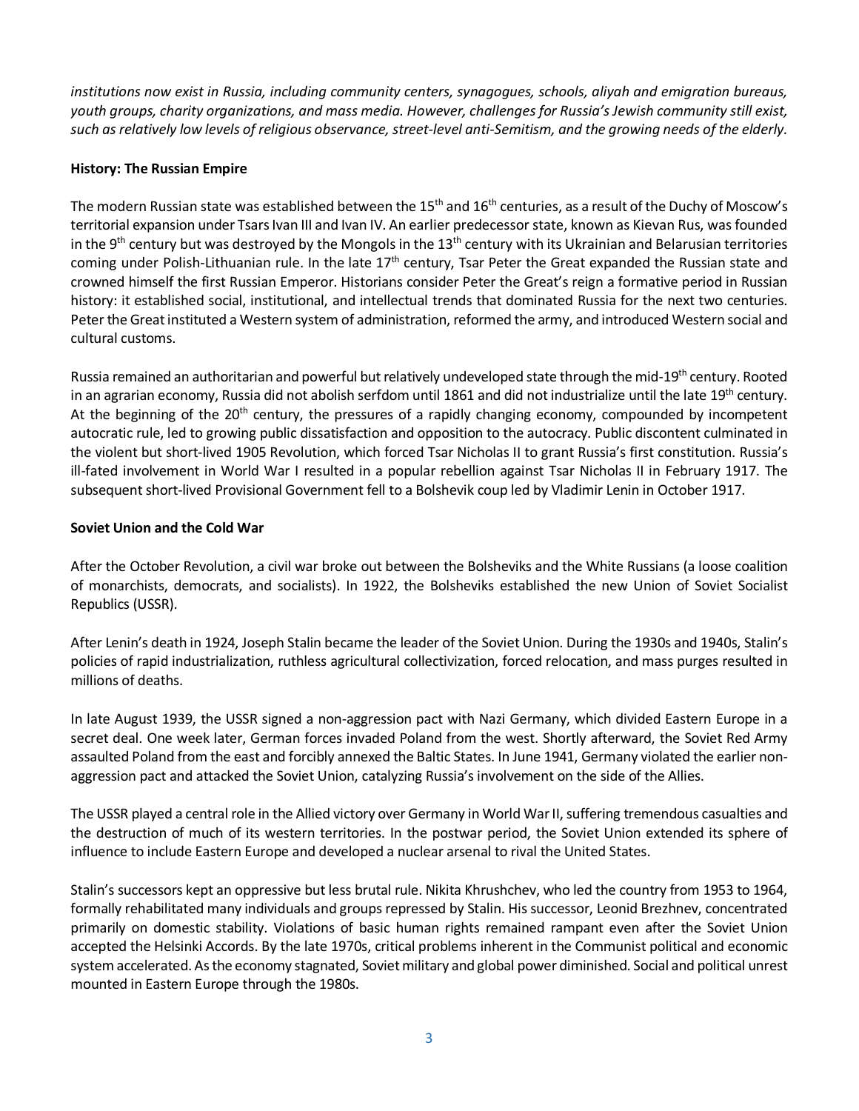*institutions now exist in Russia, including community centers, synagogues, schools, aliyah and emigration bureaus, youth groups, charity organizations, and mass media. However, challenges for Russia's Jewish community still exist, such as relatively low levels of religious observance, street-level anti-Semitism, and the growing needs of the elderly.*

# <span id="page-2-0"></span>**History: The Russian Empire**

The modern Russian state was established between the  $15<sup>th</sup>$  and  $16<sup>th</sup>$  centuries, as a result of the Duchy of Moscow's territorial expansion under Tsars Ivan III and Ivan IV. An earlier predecessor state, known as Kievan Rus, was founded in the 9<sup>th</sup> century but was destroyed by the Mongols in the 13<sup>th</sup> century with its Ukrainian and Belarusian territories coming under Polish-Lithuanian rule. In the late 17<sup>th</sup> century, Tsar Peter the Great expanded the Russian state and crowned himself the first Russian Emperor. Historians consider Peter the Great's reign a formative period in Russian history: it established social, institutional, and intellectual trends that dominated Russia for the next two centuries. Peter the Great instituted a Western system of administration, reformed the army, and introduced Western social and cultural customs.

Russia remained an authoritarian and powerful but relatively undeveloped state through the mid-19<sup>th</sup> century. Rooted in an agrarian economy, Russia did not abolish serfdom until 1861 and did not industrialize until the late 19<sup>th</sup> century. At the beginning of the  $20<sup>th</sup>$  century, the pressures of a rapidly changing economy, compounded by incompetent autocratic rule, led to growing public dissatisfaction and opposition to the autocracy. Public discontent culminated in the violent but short-lived 1905 Revolution, which forced Tsar Nicholas II to grant Russia's first constitution. Russia's ill-fated involvement in World War I resulted in a popular rebellion against Tsar Nicholas II in February 1917. The subsequent short-lived Provisional Government fell to a Bolshevik coup led by Vladimir Lenin in October 1917.

## **Soviet Union and the Cold War**

After the October Revolution, a civil war broke out between the Bolsheviks and the White Russians (a loose coalition of monarchists, democrats, and socialists). In 1922, the Bolsheviks established the new Union of Soviet Socialist Republics (USSR).

After Lenin's death in 1924, Joseph Stalin became the leader of the Soviet Union. During the 1930s and 1940s, Stalin's policies of rapid industrialization, ruthless agricultural collectivization, forced relocation, and mass purges resulted in millions of deaths.

In late August 1939, the USSR signed a non-aggression pact with Nazi Germany, which divided Eastern Europe in a secret deal. One week later, German forces invaded Poland from the west. Shortly afterward, the Soviet Red Army assaulted Poland from the east and forcibly annexed the Baltic States. In June 1941, Germany violated the earlier nonaggression pact and attacked the Soviet Union, catalyzing Russia's involvement on the side of the Allies.

The USSR played a central role in the Allied victory over Germany in World War II, suffering tremendous casualties and the destruction of much of its western territories. In the postwar period, the Soviet Union extended its sphere of influence to include Eastern Europe and developed a nuclear arsenal to rival the United States.

Stalin's successors kept an oppressive but less brutal rule. Nikita Khrushchev, who led the country from 1953 to 1964, formally rehabilitated many individuals and groups repressed by Stalin. His successor, Leonid Brezhnev, concentrated primarily on domestic stability. Violations of basic human rights remained rampant even after the Soviet Union accepted the Helsinki Accords. By the late 1970s, critical problems inherent in the Communist political and economic system accelerated. As the economy stagnated, Soviet military and global power diminished. Social and political unrest mounted in Eastern Europe through the 1980s.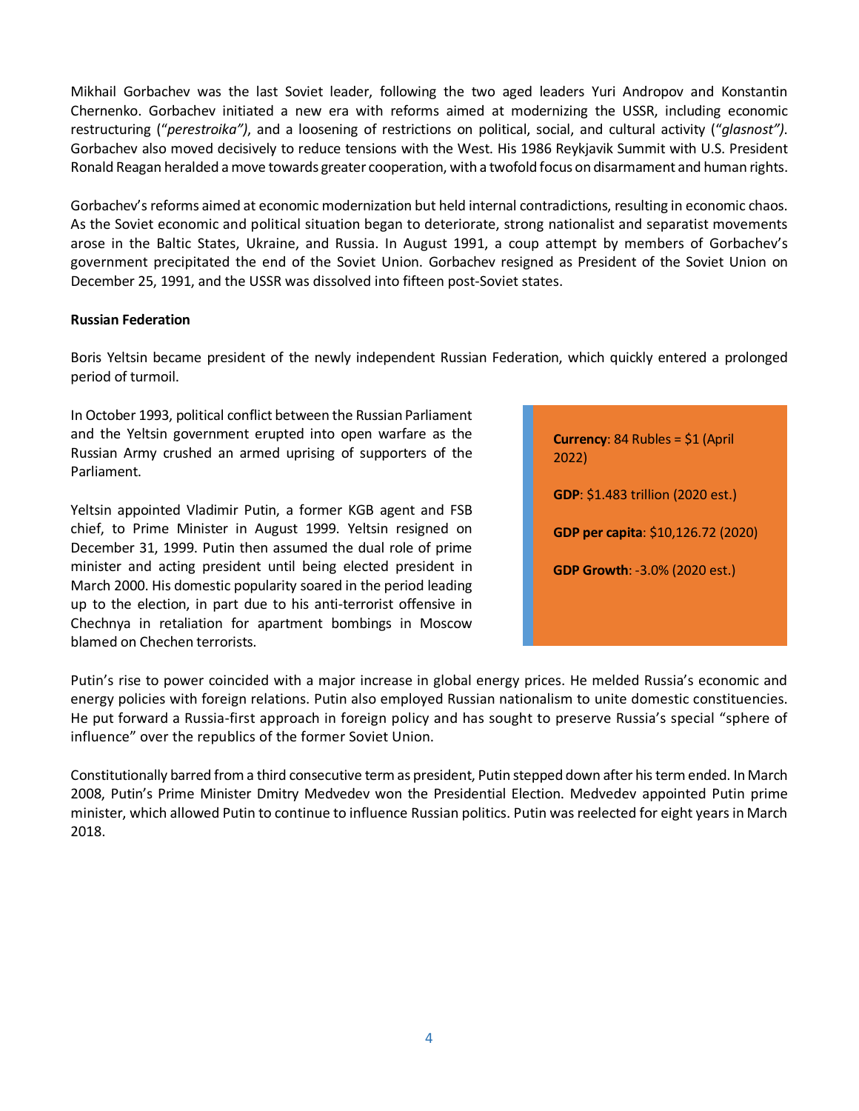Mikhail Gorbachev was the last Soviet leader, following the two aged leaders Yuri Andropov and Konstantin Chernenko. Gorbachev initiated a new era with reforms aimed at modernizing the USSR, including economic restructuring ("*perestroika")*, and a loosening of restrictions on political, social, and cultural activity ("*glasnost")*. Gorbachev also moved decisively to reduce tensions with the West. His 1986 Reykjavik Summit with U.S. President Ronald Reagan heralded a move towards greater cooperation, with a twofold focus on disarmament and human rights.

Gorbachev's reforms aimed at economic modernization but held internal contradictions, resulting in economic chaos. As the Soviet economic and political situation began to deteriorate, strong nationalist and separatist movements arose in the Baltic States, Ukraine, and Russia. In August 1991, [a coup attempt](http://en.wikipedia.org/wiki/1991_Soviet_coup_d%27%C3%A9tat_attempt) by members of Gorbachev's government precipitated the end of the Soviet Union. Gorbachev resigned as President of the Soviet Union on December 25, 1991, and the USSR [was dissolved](http://en.wikipedia.org/wiki/Dissolution_of_the_Soviet_Union) into fifteen [post-Soviet states.](http://en.wikipedia.org/wiki/Post-Soviet_states)

## **Russian Federation**

Boris Yeltsin became president of the newly independent Russian Federation, which quickly entered a prolonged period of turmoil.

In October 1993, political conflict between the Russian Parliament and the Yeltsin government erupted into open warfare as the Russian Army crushed an armed uprising of supporters of the Parliament.

Yeltsin appointed Vladimir Putin, a former KGB agent and FSB chief, to Prime Minister in August 1999. Yeltsin resigned on December 31, 1999. Putin then assumed the dual role of prime minister and acting president until being elected president in March 2000. His domestic popularity soared in the period leading up to the election, in part due to his anti-terrorist offensive in Chechnya in retaliation for apartment bombings in Moscow blamed on Chechen terrorists.

| <b>Currency:</b> 84 Rubles = $$1$ (April<br>2022) |
|---------------------------------------------------|
| <b>GDP</b> : \$1.483 trillion (2020 est.)         |
| GDP per capita: \$10,126.72 (2020)                |
| <b>GDP Growth: -3.0% (2020 est.)</b>              |
|                                                   |
|                                                   |

Putin's rise to power coincided with a major increase in global energy prices. He melded Russia's economic and energy policies with foreign relations. Putin also employed Russian nationalism to unite domestic constituencies. He put forward a Russia-first approach in foreign policy and has sought to preserve Russia's special "sphere of influence" over the republics of the former Soviet Union.

Constitutionally barred from a third consecutive term as president, Putin stepped down after his term ended. In March 2008, Putin's Prime Minister Dmitry Medvedev won the Presidential Election. Medvedev appointed Putin prime minister, which allowed Putin to continue to influence Russian politics. Putin was reelected for eight years in March 2018.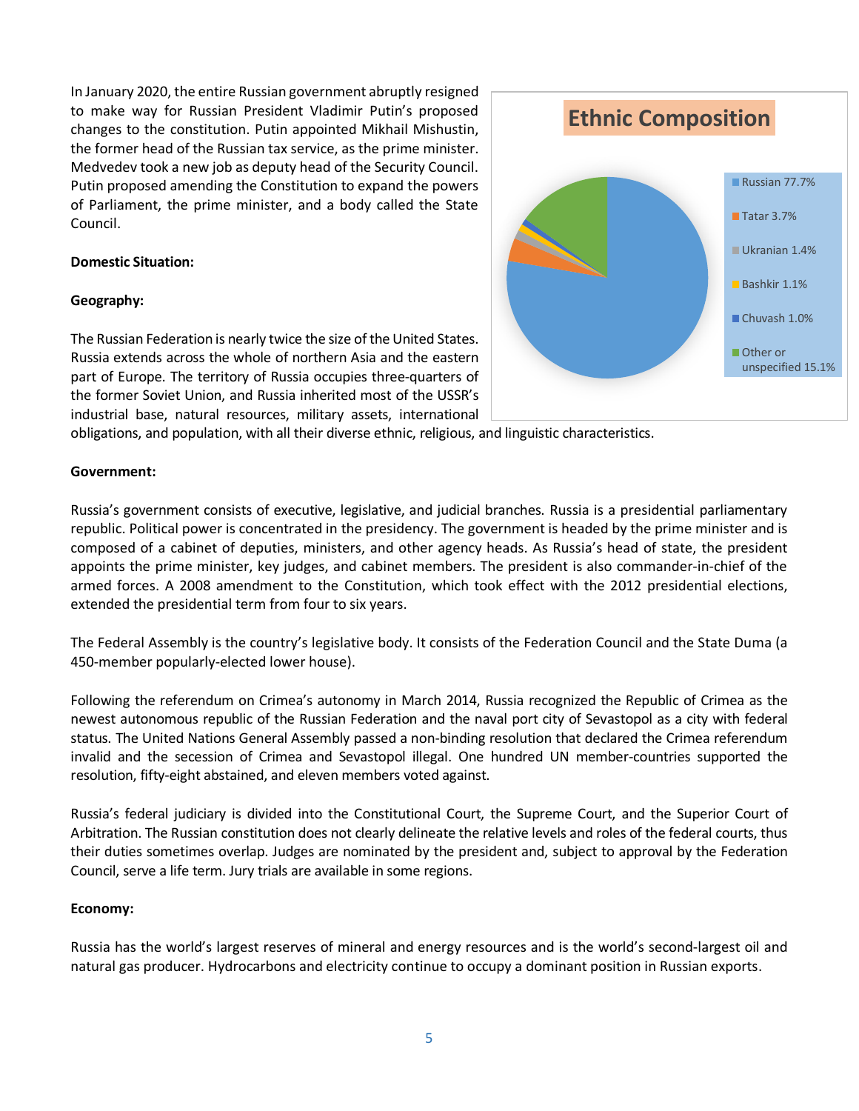In January 2020, the entire Russian government abruptly resigned to make way for Russian President Vladimir Putin's proposed changes to the constitution. Putin appointed Mikhail Mishustin, the former head of the Russian tax service, as the prime minister. Medvedev took a new job as deputy head of the Security Council. Putin proposed amending the Constitution to expand the powers of Parliament, the prime minister, and a body called the State Council.

## <span id="page-4-0"></span>**Domestic Situation:**

## **Geography:**

The Russian Federation is nearly twice the size of the United States. Russia extends across the whole of northern Asia and the eastern part of Europe. The territory of Russia occupies three-quarters of the former Soviet Union, and Russia inherited most of the USSR's industrial base, natural resources, military assets, international



obligations, and population, with all their diverse ethnic, religious, and linguistic characteristics.

### **Government:**

Russia's government consists of executive, legislative, and judicial branches. Russia is a presidential parliamentary republic. Political power is concentrated in the presidency. The government is headed by the prime minister and is composed of a cabinet of deputies, ministers, and other agency heads. As Russia's head of state, the president appoints the prime minister, key judges, and cabinet members. The president is also commander-in-chief of the armed forces. A 2008 amendment to the Constitution, which took effect with the 2012 presidential elections, extended the presidential term from four to six years.

The Federal Assembly is the country's legislative body. It consists of the Federation Council and the State [Duma](http://www.britannica.com/EBchecked/topic/173419/Duma) (a 450-member popularly-elected lower house).

Following the referendum on Crimea's autonomy in March 2014, Russia recognized the Republic of Crimea as the newest autonomous republic of the Russian Federation and the naval port city of Sevastopol as a city with federal status. The United Nations General Assembly passed a non-binding resolution that declared the Crimea referendum invalid and the secession of Crimea and Sevastopol illegal. One hundred UN member-countries supported the resolution, fifty-eight abstained, and eleven members voted against.

Russia's federal judiciary is divided into the Constitutional Court, the Supreme Court, and the Superior Court of Arbitration. The Russian constitution does not clearly delineate the relative levels and roles of the federal courts, thus their duties sometimes overlap. Judges are nominated by the president and, subject to approval by the Federation Council, serve a life term. Jury trials are available in some regions.

### **Economy:**

Russia has the world's largest reserves of mineral and energy resources and is the world's second-largest [oil and](http://en.wikipedia.org/wiki/Oil_producer)  [natural gas producer.](http://en.wikipedia.org/wiki/Oil_producer) Hydrocarbons and electricity continue to occupy a dominant position in Russian exports.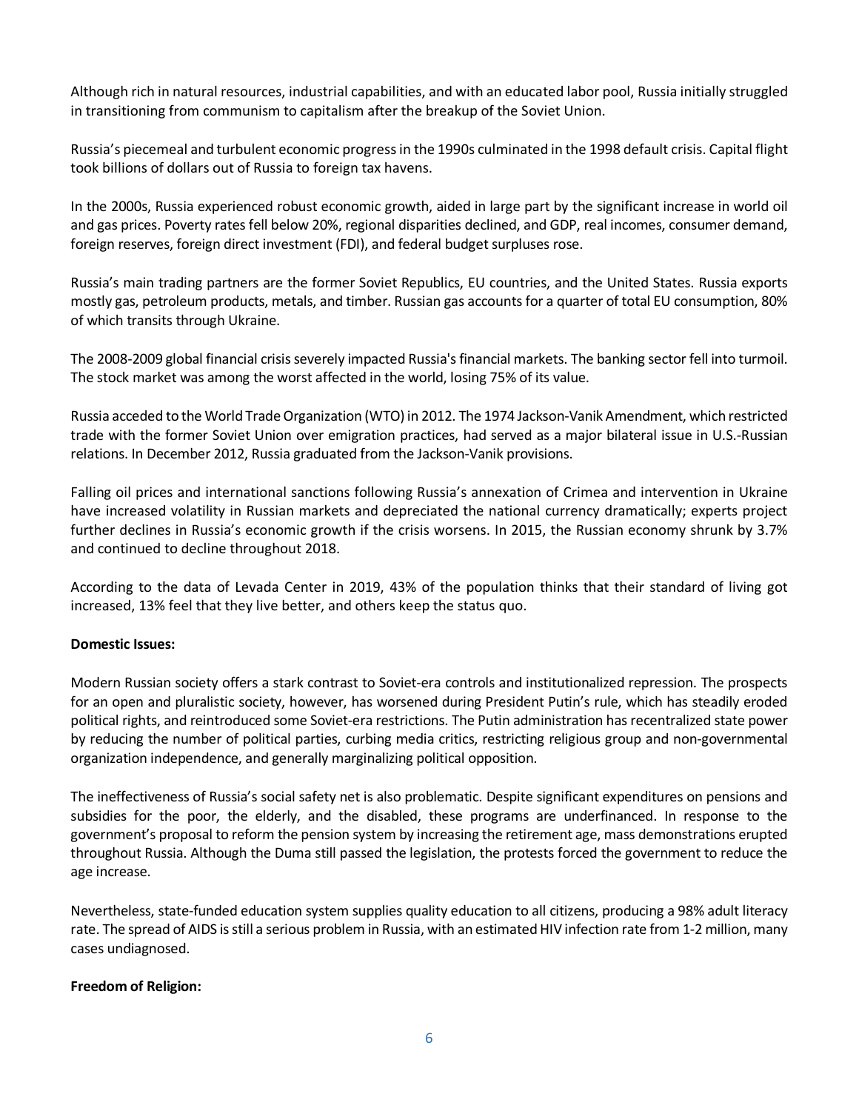Although rich in natural resources, industrial capabilities, and with an educated labor pool, Russia initially struggled in transitioning from communism to capitalism after the breakup of the Soviet Union.

Russia's piecemeal and turbulent economic progress in the 1990s culminated in the 1998 default crisis. Capital flight took billions of dollars out of Russia to foreign tax havens.

In the 2000s, Russia experienced robust economic growth, aided in large part by the significant increase in world oil and gas prices. Poverty rates fell below 20%, regional disparities declined, and GDP, real incomes, consumer demand, foreign reserves, foreign direct investment (FDI), and federal budget surpluses rose.

Russia's main trading partners are the former Soviet Republics, EU countries, and the United States. Russia exports mostly gas, petroleum products, metals, and timber. Russian gas accounts for a quarter of total EU consumption, 80% of which transits through Ukraine.

The 2008-2009 global financial crisis severely impacted Russia's financial markets. The banking sector fell into turmoil. The stock market was among the worst affected in the world, losing 75% of its value.

Russia acceded to the World Trade Organization (WTO) in 2012. The 1974 Jackson-Vanik Amendment, which restricted trade with the former Soviet Union over emigration practices, had served as a major bilateral issue in U.S.-Russian relations. In December 2012, Russia graduated from the Jackson-Vanik provisions.

Falling oil prices and international sanctions following Russia's annexation of Crimea and intervention in Ukraine have increased volatility in Russian markets and depreciated the national currency dramatically; experts project further declines in Russia's economic growth if the crisis worsens. In 2015, the Russian economy shrunk by 3.7% and continued to decline throughout 2018.

According to the data of Levada Center in 2019, 43% of the population thinks that their standard of living got increased, 13% feel that they live better, and others keep the status quo.

## **Domestic Issues:**

Modern Russian society offers a stark contrast to Soviet-era controls and institutionalized repression. The prospects for an open and pluralistic society, however, has worsened during President Putin's rule, which has steadily eroded political rights, and reintroduced some Soviet-era restrictions. The Putin administration has recentralized state power by reducing the number of political parties, curbing media critics, restricting religious group and non-governmental organization independence, and generally marginalizing political opposition.

The ineffectiveness of Russia's social safety net is also problematic. Despite significant expenditures on pensions and subsidies for the poor, the elderly, and the disabled, these programs are underfinanced. In response to the government's proposal to reform the pension system by increasing the retirement age, mass demonstrations erupted throughout Russia. Although the Duma still passed the legislation, the protests forced the government to reduce the age increase.

Nevertheless, state-funded education system supplies quality education to all citizens, producing a 98% adult literacy rate. The spread of AIDS is still a serious problem in Russia, with an estimated HIV infection rate from 1-2 million, many cases undiagnosed.

## **Freedom of Religion:**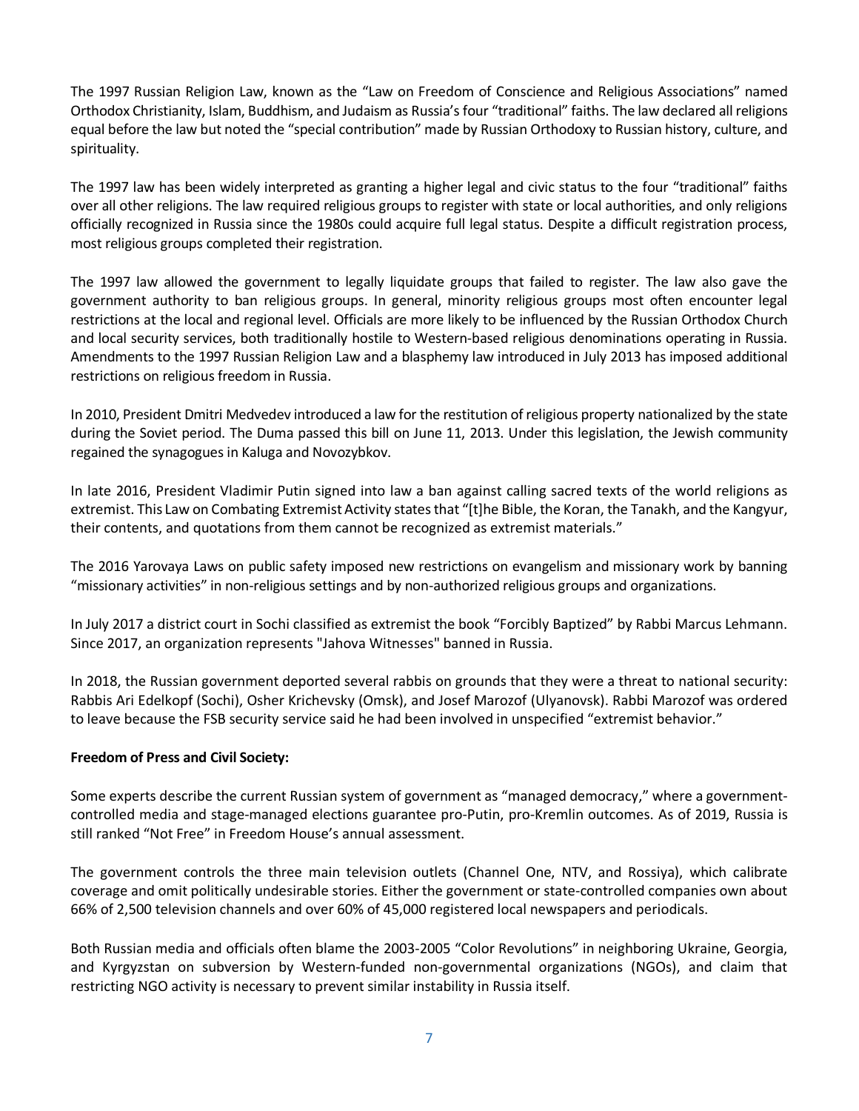The 1997 Russian Religion Law, known as the "Law on Freedom of Conscience and Religious Associations" named Orthodox Christianity, Islam, Buddhism, and Judaism as Russia's four "traditional" faiths. The law declared all religions equal before the law but noted the "special contribution" made by Russian Orthodoxy to Russian history, culture, and spirituality.

The 1997 law has been widely interpreted as granting a higher legal and civic status to the four "traditional" faiths over all other religions. The law required religious groups to register with state or local authorities, and only religions officially recognized in Russia since the 1980s could acquire full legal status. Despite a difficult registration process, most religious groups completed their registration.

The 1997 law allowed the government to legally liquidate groups that failed to register. The law also gave the government authority to ban religious groups. In general, minority religious groups most often encounter legal restrictions at the local and regional level. Officials are more likely to be influenced by the Russian Orthodox Church and local security services, both traditionally hostile to Western-based religious denominations operating in Russia. Amendments to the 1997 Russian Religion Law and a blasphemy law introduced in July 2013 has imposed additional restrictions on religious freedom in Russia.

In 2010, President Dmitri Medvedev introduced a law for the restitution of religious property nationalized by the state during the Soviet period. The Duma passed this bill on June 11, 2013. Under this legislation, the Jewish community regained the synagogues in Kaluga and Novozybkov.

In late 2016, President Vladimir Putin signed into law a ban against calling sacred texts of the world religions as extremist. This Law on Combating Extremist Activity states that "[t]he Bible, the Koran, the Tanakh, and the Kangyur, their contents, and quotations from them cannot be recognized as extremist materials."

The 2016 Yarovaya Laws on public safety imposed new restrictions on evangelism and missionary work by banning "missionary activities" in non-religious settings and by non-authorized religious groups and organizations.

In July 2017 a district court in Sochi classified as extremist the book "Forcibly Baptized" by Rabbi Marcus Lehmann. Since 2017, an organization represents "Jahova Witnesses" banned in Russia.

In 2018, the Russian government deported several rabbis on grounds that they were a threat to national security: Rabbis Ari Edelkopf (Sochi), Osher Krichevsky (Omsk), and Josef Marozof (Ulyanovsk). Rabbi Marozof was ordered to leave because the FSB security service said he had been involved in unspecified "extremist behavior."

## **Freedom of Press and Civil Society:**

Some experts describe the current Russian system of government as "managed democracy," where a governmentcontrolled media and stage-managed elections guarantee pro-Putin, pro-Kremlin outcomes. As of 2019, Russia is still ranked "Not Free" in Freedom House's annual assessment.

The government controls the three main television outlets (Channel One, NTV, and Rossiya), which calibrate coverage and omit politically undesirable stories. Either the government or state-controlled companies own about 66% of 2,500 television channels and over 60% of 45,000 registered local newspapers and periodicals.

Both Russian media and officials often blame the 2003-2005 "Color Revolutions" in neighboring Ukraine, Georgia, and Kyrgyzstan on subversion by Western-funded non-governmental organizations (NGOs), and claim that restricting NGO activity is necessary to prevent similar instability in Russia itself.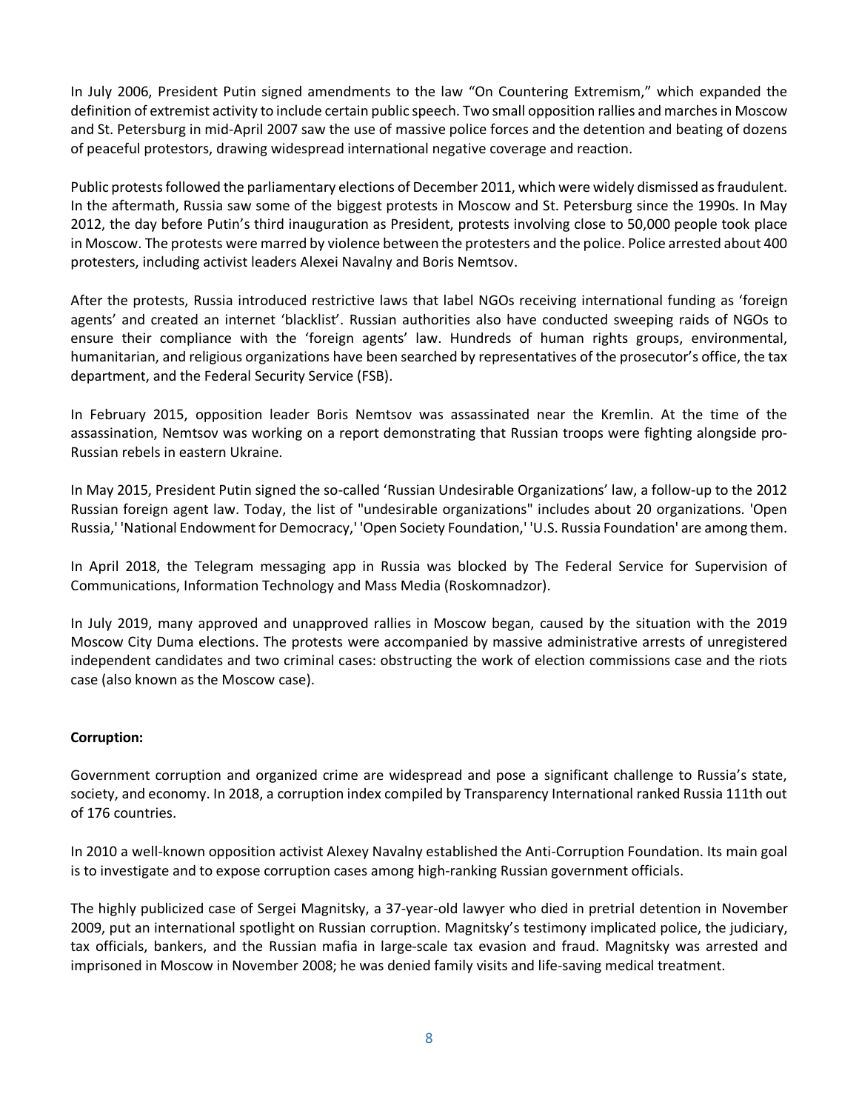In July 2006, President Putin signed amendments to the law "On Countering Extremism," which expanded the definition of extremist activity to include certain public speech. Two small opposition rallies and marches in Moscow and St. Petersburg in mid-April 2007 saw the use of massive police forces and the detention and beating of dozens of peaceful protestors, drawing widespread international negative coverage and reaction.

Public protests followed the parliamentary elections of December 2011, which were widely dismissed as fraudulent. In the aftermath, Russia saw some of the biggest protests in Moscow and St. Petersburg since the 1990s. In May 2012, the day before Putin's third inauguration as President, protests involving close to 50,000 people took place in Moscow. The protests were marred by violence between the protesters and the police. Police arrested about 400 protesters, including activist leaders [Alexei Navalny](http://en.wikipedia.org/wiki/Alexei_Navalny) and [Boris Nemtsov.](http://en.wikipedia.org/wiki/Boris_Nemtsov)

After the protests, Russia introduced restrictive laws that label NGOs receiving international funding as 'foreign agents' and created an internet 'blacklist'. Russian authorities also have conducted sweeping raids of NGOs to ensure their compliance with the 'foreign agents' law. Hundreds of human rights groups, environmental, humanitarian, and religious organizations have been searched by representatives of the prosecutor's office, the tax department, and the Federal Security Service (FSB).

In February 2015, opposition leader Boris Nemtsov was assassinated near the Kremlin. At the time of the assassination, Nemtsov was working on a report demonstrating that Russian troops were fighting alongside pro-Russian rebels in eastern Ukraine.

In May 2015, President Putin signed the so-called 'Russian Undesirable Organizations' law, a follow-up to the 2012 Russian foreign agent law. Today, the list of "undesirable organizations" includes about 20 organizations. 'Open Russia,' 'National Endowment for Democracy,' 'Open Society Foundation,' 'U.S. Russia Foundation' are among them.

In April 2018, the Telegram messaging app in Russia was blocked by The Federal Service for Supervision of Communications, Information Technology and Mass Media (Roskomnadzor).

In July 2019, many approved and unapproved rallies in Moscow began, caused by the situation with the 2019 Moscow City Duma elections. The protests were accompanied by massive administrative arrests of unregistered independent candidates and two criminal cases: obstructing the work of election commissions case and the riots case (also known as the Moscow case).

# **Corruption:**

Government corruption and organized crime are widespread and pose a significant challenge to Russia's state, society, and economy. In 2018, a corruption index compiled by Transparency International ranked Russia 111th out of 176 countries.

In 2010 a well-known opposition activist Alexey Navalny established the Anti-Corruption Foundation. Its main goal is to investigate and to expose corruption cases among high-ranking Russian government officials.

The highly publicized case of Sergei Magnitsky, a 37-year-old lawyer who died in pretrial detention in November 2009, put an international spotlight on Russian corruption. Magnitsky's testimony implicated police, the judiciary, tax officials, bankers, and the [Russian mafia](http://en.wikipedia.org/wiki/Russian_mafia) in large-scale tax evasion and fraud. Magnitsky was arrested and imprisoned in Moscow in November 2008; he was denied family visits and life-saving medical treatment.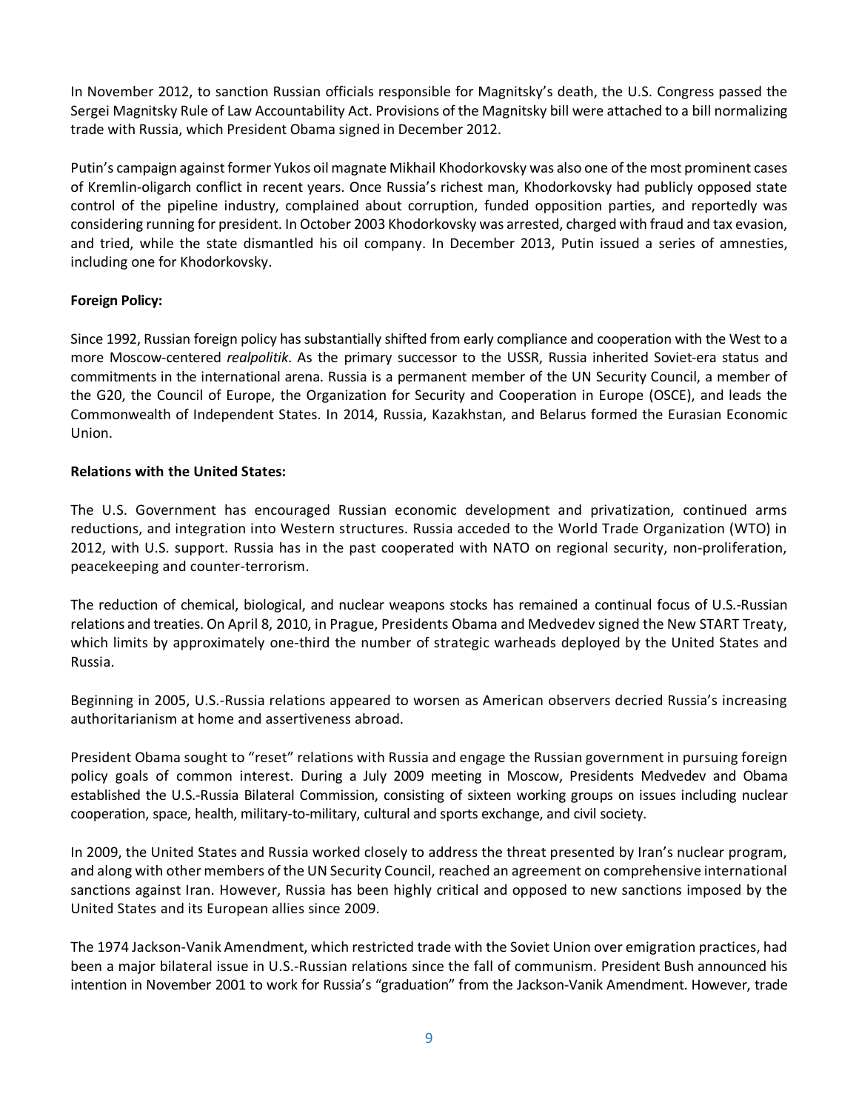In November 2012, to sanction Russian officials responsible for Magnitsky's death, the U.S. Congress passed the Sergei Magnitsky Rule of Law Accountability Act. Provisions of the Magnitsky bill were attached to a bill normalizing trade with Russia, which President Obama signed in December 2012.

Putin's campaign against former Yukos oil magnate Mikhail Khodorkovsky was also one of the most prominent cases of Kremlin-oligarch conflict in recent years. Once Russia's richest man, Khodorkovsky had publicly opposed state control of the pipeline industry, complained about corruption, funded opposition parties, and reportedly was considering running for president. In October 2003 Khodorkovsky was arrested, charged with fraud and tax evasion, and tried, while the state dismantled his oil company. In December 2013, Putin issued a series of amnesties, including one for Khodorkovsky.

## <span id="page-8-0"></span>**Foreign Policy:**

Since 1992, Russian foreign policy has substantially shifted from early compliance and cooperation with the West to a more Moscow-centered *realpolitik*. As the primary successor to the USSR, Russia inherited Soviet-era status and commitments in the international arena. Russia is a permanent member of the [UN Security Council,](http://en.wikipedia.org/wiki/United_Nations_Security_Council) a member of the [G20,](http://en.wikipedia.org/wiki/G20) the [Council of Europe,](http://en.wikipedia.org/wiki/Council_of_Europe) the [Organization for Security and Cooperation in Europe](http://en.wikipedia.org/wiki/Organisation_for_Security_and_Cooperation_in_Europe) (OSCE), and leads the [Commonwealth of Independent States.](http://en.wikipedia.org/wiki/Commonwealth_of_Independent_States) In 2014, Russia, Kazakhstan, and Belarus formed the Eurasian Economic Union.

## <span id="page-8-1"></span>**Relations with the United States:**

The U.S. Government has encouraged Russian economic development and privatization, continued arms reductions, and integration into Western structures. Russia acceded to the World Trade Organization (WTO) in 2012, with U.S. support. Russia has in the past cooperated with NATO on regional security, non-proliferation, peacekeeping and counter-terrorism.

The reduction of chemical, biological, and nuclear weapons stocks has remained a continual focus of U.S.-Russian relations and treaties. On April 8, 2010, in Prague, Presidents Obama and Medvedev signed the New START Treaty, which limits by approximately one-third the number of strategic warheads deployed by the United States and Russia.

Beginning in 2005, U.S.-Russia relations appeared to worsen as American observers decried Russia's increasing authoritarianism at home and assertiveness abroad.

President Obama sought to "reset" relations with Russia and engage the Russian government in pursuing foreign policy goals of common interest. During a July 2009 meeting in Moscow, Presidents Medvedev and Obama established the U.S.-Russia Bilateral Commission, consisting of sixteen working groups on issues including nuclear cooperation, space, health, military-to-military, cultural and sports exchange, and civil society.

In 2009, the United States and Russia worked closely to address the threat presented by Iran's nuclear program, and along with other members of the UN Security Council, reached an agreement on comprehensive international sanctions against Iran. However, Russia has been highly critical and opposed to new sanctions imposed by the United States and its European allies since 2009.

The 1974 Jackson-Vanik Amendment, which restricted trade with the Soviet Union over emigration practices, had been a major bilateral issue in U.S.-Russian relations since the fall of communism. President Bush announced his intention in November 2001 to work for Russia's "graduation" from the Jackson-Vanik Amendment. However, trade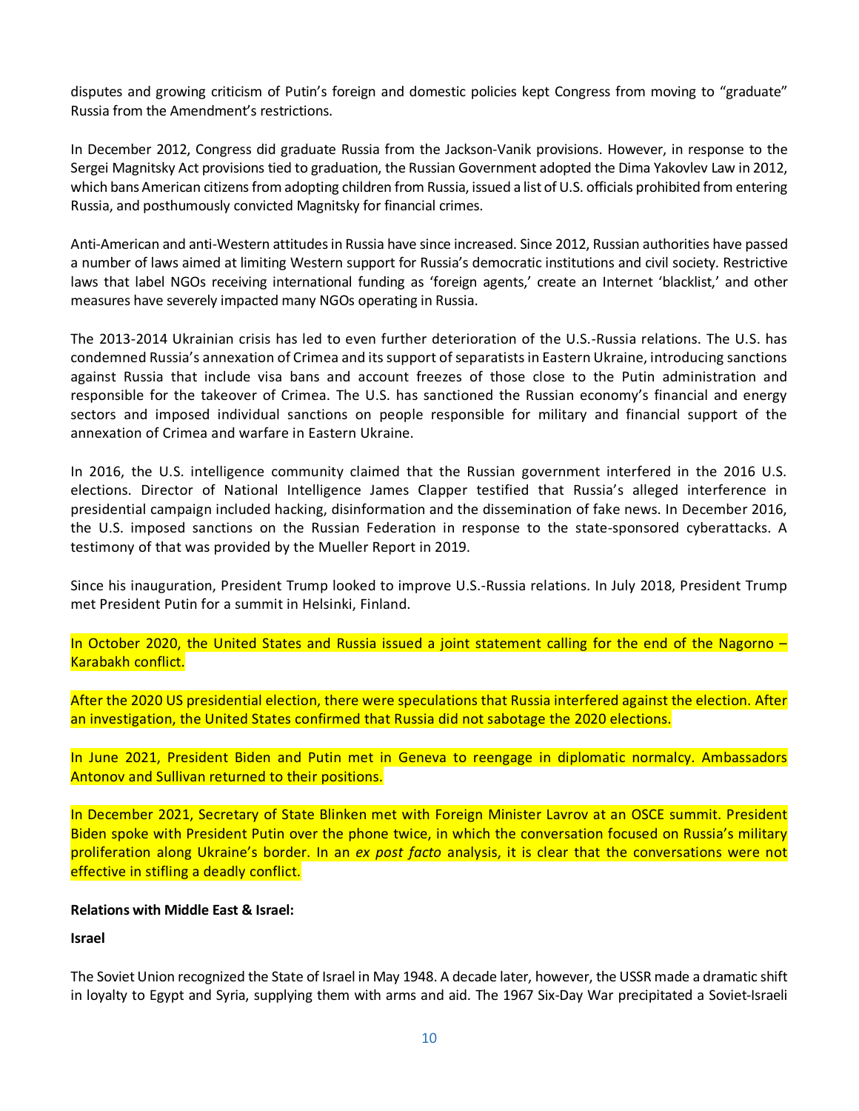disputes and growing criticism of Putin's foreign and domestic policies kept Congress from moving to "graduate" Russia from the Amendment's restrictions.

In December 2012, Congress did graduate Russia from the Jackson-Vanik provisions. However, in response to the Sergei Magnitsky Act provisions tied to graduation, the Russian Government adopted the Dima Yakovlev Law in 2012, which bans American citizens from adopting children from Russia, issued a list of U.S. officials prohibited from entering Russia, and posthumously convicted Magnitsky for financial crimes.

Anti-American and anti-Western attitudes in Russia have since increased. Since 2012, Russian authorities have passed a number of laws aimed at limiting Western support for Russia's democratic institutions and civil society. Restrictive laws that label NGOs receiving international funding as 'foreign agents,' create an Internet 'blacklist,' and other measures have severely impacted many NGOs operating in Russia.

The 2013-2014 Ukrainian crisis has led to even further deterioration of the U.S.-Russia relations. The U.S. has condemned Russia's annexation of Crimea and its support of separatists in Eastern Ukraine, introducing sanctions against Russia that include visa bans and account freezes of those close to the Putin administration and responsible for the takeover of Crimea. The U.S. has sanctioned the Russian economy's financial and energy sectors and imposed individual sanctions on people responsible for military and financial support of the annexation of Crimea and warfare in Eastern Ukraine.

In 2016, the U.S. intelligence community claimed that the Russian government interfered in the 2016 U.S. elections. Director of National Intelligence James Clapper testified that Russia's alleged interference in presidential campaign included hacking, disinformation and the dissemination of fake news. In December 2016, the U.S. imposed sanctions on the Russian Federation in response to the state-sponsored cyberattacks. A testimony of that was provided by the Mueller Report in 2019.

Since his inauguration, President Trump looked to improve U.S.-Russia relations. In July 2018, President Trump met President Putin for a summit in Helsinki, Finland.

In October 2020, the United States and Russia issued a joint statement calling for the end of the Nagorno – Karabakh conflict.

After the 2020 US presidential election, there were speculations that Russia interfered against the election. After an investigation, the United States confirmed that Russia did not sabotage the 2020 elections.

In June 2021, President Biden and Putin met in Geneva to reengage in diplomatic normalcy. Ambassadors Antonov and Sullivan returned to their positions.

In December 2021, Secretary of State Blinken met with Foreign Minister Lavrov at an OSCE summit. President Biden spoke with President Putin over the phone twice, in which the conversation focused on Russia's military proliferation along Ukraine's border. In an *ex post facto* analysis, it is clear that the conversations were not effective in stifling a deadly conflict.

## <span id="page-9-0"></span>**Relations with Middle East & Israel:**

## **Israel**

The Soviet Union recognized the State of Israel in May 1948. A decade later, however, the USSR made a dramatic shift in loyalty to Egypt and Syria, supplying them with arms and aid. The 1967 Six-Day War precipitated a Soviet-Israeli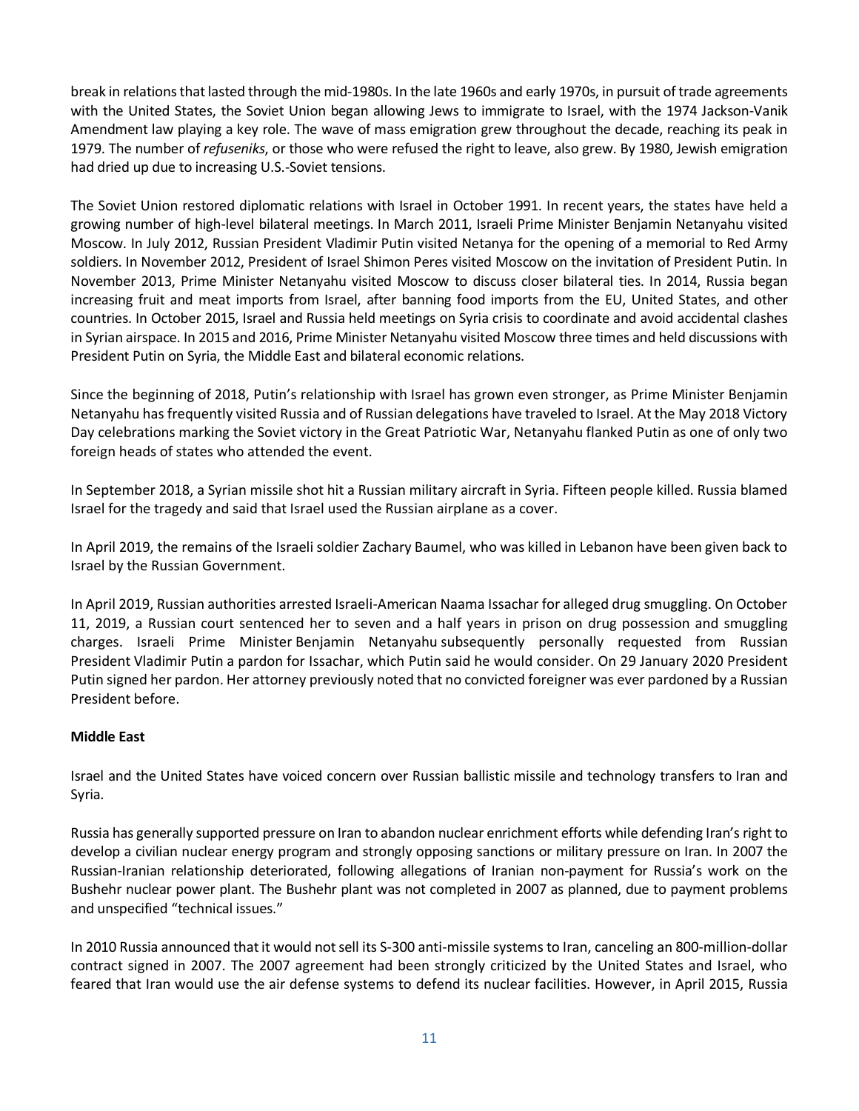break in relations that lasted through the mid-1980s. In the late 1960s and early 1970s, in pursuit of trade agreements with the United States, the Soviet Union began allowing Jews to immigrate to Israel, with the 1974 Jackson-Vanik Amendment law playing a key role. The wave of mass emigration grew throughout the decade, reaching its peak in 1979. The number of *refuseniks*, or those who were refused the right to leave, also grew. By 1980, Jewish emigration had dried up due to increasing U.S.-Soviet tensions.

The Soviet Union restored diplomatic relations with Israel in October 1991. In recent years, the states have held a growing number of high-level bilateral meetings. In March 2011, Israeli Prime Minister Benjamin Netanyahu visited Moscow. In July 2012, Russian President Vladimir Putin visited Netanya for the opening of a memorial to Red Army soldiers. In November 2012, President of Israel Shimon Peres visited Moscow on the invitation of President Putin. In November 2013, Prime Minister Netanyahu visited Moscow to discuss closer bilateral ties. In 2014, Russia began increasing fruit and meat imports from Israel, after banning food imports from the EU, United States, and other countries. In October 2015, Israel and Russia held meetings on Syria crisis to coordinate and avoid accidental clashes in Syrian airspace. In 2015 and 2016, Prime Minister Netanyahu visited Moscow three times and held discussions with President Putin on Syria, the Middle East and bilateral economic relations.

Since the beginning of 2018, Putin's relationship with Israel has grown even stronger, as Prime Minister Benjamin Netanyahu has frequently visited Russia and of Russian delegations have traveled to Israel. At the May 2018 Victory Day celebrations marking the Soviet victory in the Great Patriotic War, Netanyahu flanked Putin as one of only two foreign heads of states who attended the event.

In September 2018, a Syrian missile shot hit a Russian military aircraft in Syria. Fifteen people killed. Russia blamed Israel for the tragedy and said that Israel used the Russian airplane as a cover.

In April 2019, the remains of the Israeli soldier Zachary Baumel, who was killed in Lebanon have been given back to Israel by the Russian Government.

In April 2019, Russian authorities arrested Israeli-American Naama Issachar for alleged drug smuggling. On October 11, 2019, a Russian court sentenced her to seven and a half years in prison on drug possession and smuggling charges. Israeli Prime Minister Benjamin Netanyahu subsequently personally requested from Russian President Vladimir Putin a pardon for Issachar, which Putin said he would consider. On 29 January 2020 President Putin signed her pardon. Her attorney previously noted that no convicted foreigner was ever pardoned by a Russian President before.

# **Middle East**

Israel and the United States have voiced concern over Russian ballistic missile and technology transfers to Iran and Syria.

Russia has generally supported pressure on Iran to abandon nuclear enrichment efforts while defending Iran's right to develop a civilian nuclear energy program and strongly opposing sanctions or military pressure on Iran. In 2007 the Russian-Iranian relationship deteriorated, following allegations of Iranian non-payment for Russia's work on the Bushehr nuclear power plant. The Bushehr plant was not completed in 2007 as planned, due to payment problems and unspecified "technical issues."

In 2010 Russia announced that it would not sell its S-300 anti-missile systems to Iran, canceling an 800-million-dollar contract signed in 2007. The 2007 agreement had been strongly criticized by the United States and Israel, who feared that Iran would use the air defense systems to defend its nuclear facilities. However, in April 2015, Russia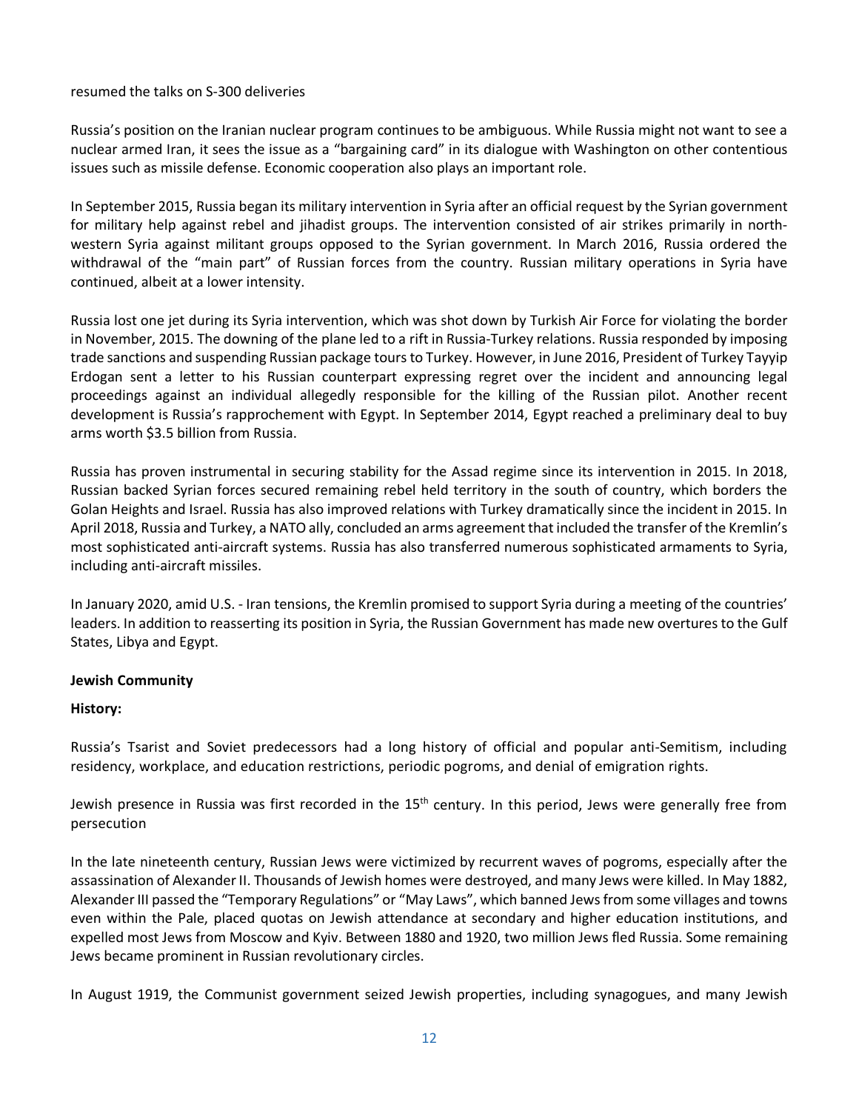### resumed the talks on S-300 deliveries

Russia's position on the Iranian nuclear program continues to be ambiguous. While Russia might not want to see a nuclear armed Iran, it sees the issue as a "bargaining card" in its dialogue with Washington on other contentious issues such as missile defense. Economic cooperation also plays an important role.

In September 2015, Russia began its military intervention in Syria after an official request by the Syrian government for military help against rebel and jihadist groups. The intervention consisted of air strikes primarily in northwestern Syria against militant groups opposed to the Syrian government. In March 2016, Russia ordered the withdrawal of the "main part" of Russian forces from the country. Russian military operations in Syria have continued, albeit at a lower intensity.

Russia lost one jet during its Syria intervention, which was shot down by Turkish Air Force for violating the border in November, 2015. The downing of the plane led to a rift in Russia-Turkey relations. Russia responded by imposing trade sanctions and suspending Russian package tours to Turkey. However, in June 2016, President of Turkey Tayyip Erdogan sent a letter to his Russian counterpart expressing regret over the incident and announcing legal proceedings against an individual allegedly responsible for the killing of the Russian pilot. Another recent development is Russia's rapprochement with Egypt. In September 2014, Egypt reached a preliminary deal to buy arms worth \$3.5 billion from Russia.

Russia has proven instrumental in securing stability for the Assad regime since its intervention in 2015. In 2018, Russian backed Syrian forces secured remaining rebel held territory in the south of country, which borders the Golan Heights and Israel. Russia has also improved relations with Turkey dramatically since the incident in 2015. In April 2018, Russia and Turkey, a NATO ally, concluded an arms agreement that included the transfer of the Kremlin's most sophisticated anti-aircraft systems. Russia has also transferred numerous sophisticated armaments to Syria, including anti-aircraft missiles.

In January 2020, amid U.S. - Iran tensions, the Kremlin promised to support Syria during a meeting of the countries' leaders. In addition to reasserting its position in Syria, the Russian Government has made new overtures to the Gulf States, Libya and Egypt.

### <span id="page-11-0"></span>**Jewish Community**

### **History:**

Russia's Tsarist and Soviet predecessors had a long history of official and popular anti-Semitism, including residency, workplace, and education restrictions, periodic pogroms, and denial of emigration rights.

Jewish presence in Russia was first recorded in the 15<sup>th</sup> century. In this period, Jews were generally free from persecution

In the late nineteenth century, Russian Jews were victimized by recurrent waves of pogroms, especially after the assassination of Alexander II. Thousands of Jewish homes were destroyed, and many Jews were killed. In May 1882, Alexander III passed the "Temporary Regulations" or "May Laws", which banned Jews from some villages and towns even within the Pale, placed quotas on Jewish attendance at secondary and higher education institutions, and expelled most Jews from Moscow and Kyiv. Between 1880 and 1920, two million Jews fled Russia. Some remaining Jews became prominent in Russian revolutionary circles.

In August 1919, the Communist government seized Jewish properties, including synagogues, and many Jewish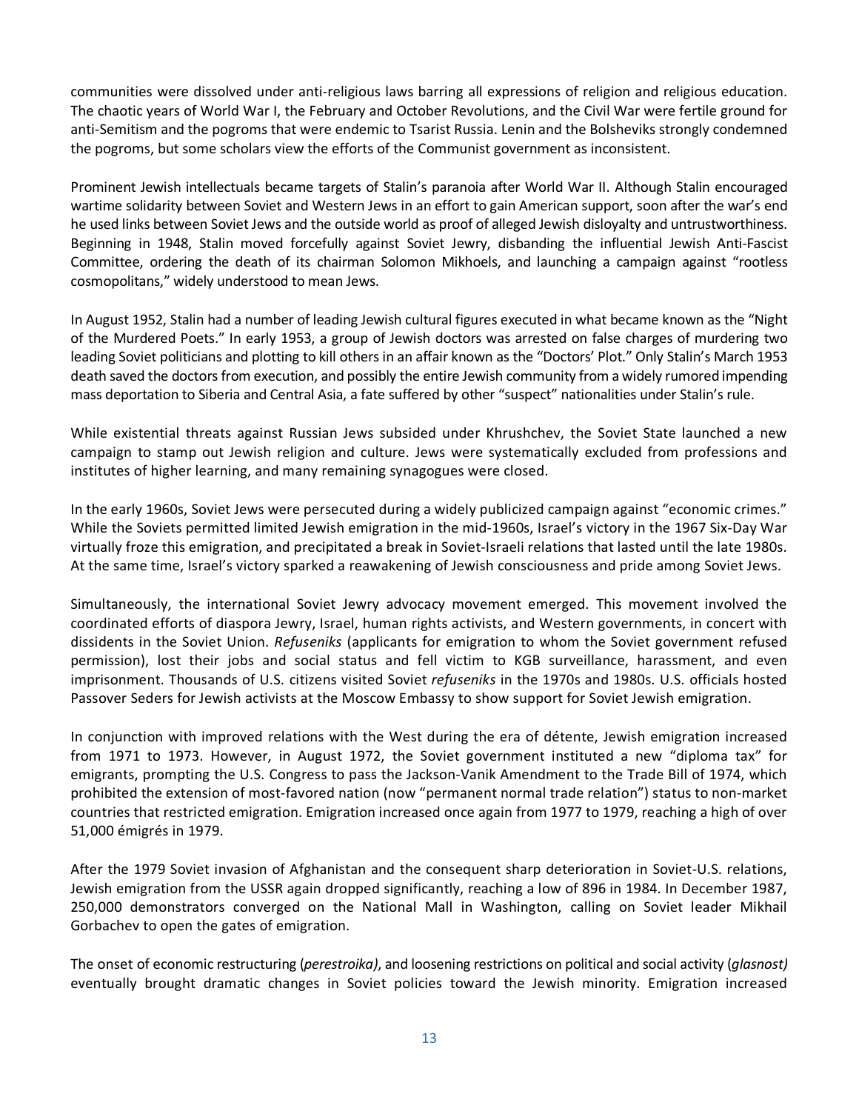communities were dissolved under anti-religious laws barring all expressions of religion and religious education. The chaotic years of World War I, the February and October Revolutions, and the Civil War were fertile ground for anti-Semitism and the pogroms that were endemic to Tsarist Russia. Lenin and the Bolsheviks strongly condemned the pogroms, but some scholars view the efforts of the Communist government as inconsistent.

Prominent Jewish intellectuals became targets of Stalin's paranoia after World War II. Although Stalin encouraged wartime solidarity between Soviet and Western Jews in an effort to gain American support, soon after the war's end he used links between Soviet Jews and the outside world as proof of alleged Jewish disloyalty and untrustworthiness. Beginning in 1948, Stalin moved forcefully against Soviet Jewry, disbanding the influential Jewish Anti-Fascist Committee, ordering the death of its chairman Solomon Mikhoels, and launching a campaign against "rootless cosmopolitans," widely understood to mean Jews.

In August 1952, Stalin had a number of leading Jewish cultural figures executed in what became known as the "Night of the Murdered Poets." In early 1953, a group of Jewish doctors was arrested on false charges of murdering two leading Soviet politicians and plotting to kill others in an affair known as the "Doctors' Plot." Only Stalin's March 1953 death saved the doctors from execution, and possibly the entire Jewish community from a widely rumored impending mass deportation to Siberia and Central Asia, a fate suffered by other "suspect" nationalities under Stalin's rule.

While existential threats against Russian Jews subsided under Khrushchev, the Soviet State launched a new campaign to stamp out Jewish religion and culture. Jews were systematically excluded from professions and institutes of higher learning, and many remaining synagogues were closed.

In the early 1960s, Soviet Jews were persecuted during a widely publicized campaign against "economic crimes." While the Soviets permitted limited Jewish emigration in the mid-1960s, Israel's victory in the 1967 Six-Day War virtually froze this emigration, and precipitated a break in Soviet-Israeli relations that lasted until the late 1980s. At the same time, Israel's victory sparked a reawakening of Jewish consciousness and pride among Soviet Jews.

Simultaneously, the international Soviet Jewry advocacy movement emerged. This movement involved the coordinated efforts of diaspora Jewry, Israel, human rights activists, and Western governments, in concert with dissidents in the Soviet Union. *Refuseniks* (applicants for emigration to whom the Soviet government refused permission), lost their jobs and social status and fell victim to KGB surveillance, harassment, and even imprisonment. Thousands of U.S. citizens visited Soviet *refuseniks* in the 1970s and 1980s. U.S. officials hosted Passover Seders for Jewish activists at the Moscow Embassy to show support for Soviet Jewish emigration.

In conjunction with improved relations with the West during the era of détente, Jewish emigration increased from 1971 to 1973. However, in August 1972, the Soviet government instituted a new "diploma tax" for emigrants, prompting the U.S. Congress to pass the Jackson-Vanik Amendment to the Trade Bill of 1974, which prohibited the extension of most-favored nation (now "permanent normal trade relation") status to non-market countries that restricted emigration. Emigration increased once again from 1977 to 1979, reaching a high of over 51,000 émigrés in 1979.

After the 1979 Soviet invasion of Afghanistan and the consequent sharp deterioration in Soviet-U.S. relations, Jewish emigration from the USSR again dropped significantly, reaching a low of 896 in 1984. In December 1987, 250,000 demonstrators converged on the National Mall in Washington, calling on Soviet leader Mikhail Gorbachev to open the gates of emigration.

The onset of economic restructuring (*perestroika)*, and loosening restrictions on political and social activity (*glasnost)* eventually brought dramatic changes in Soviet policies toward the Jewish minority. Emigration increased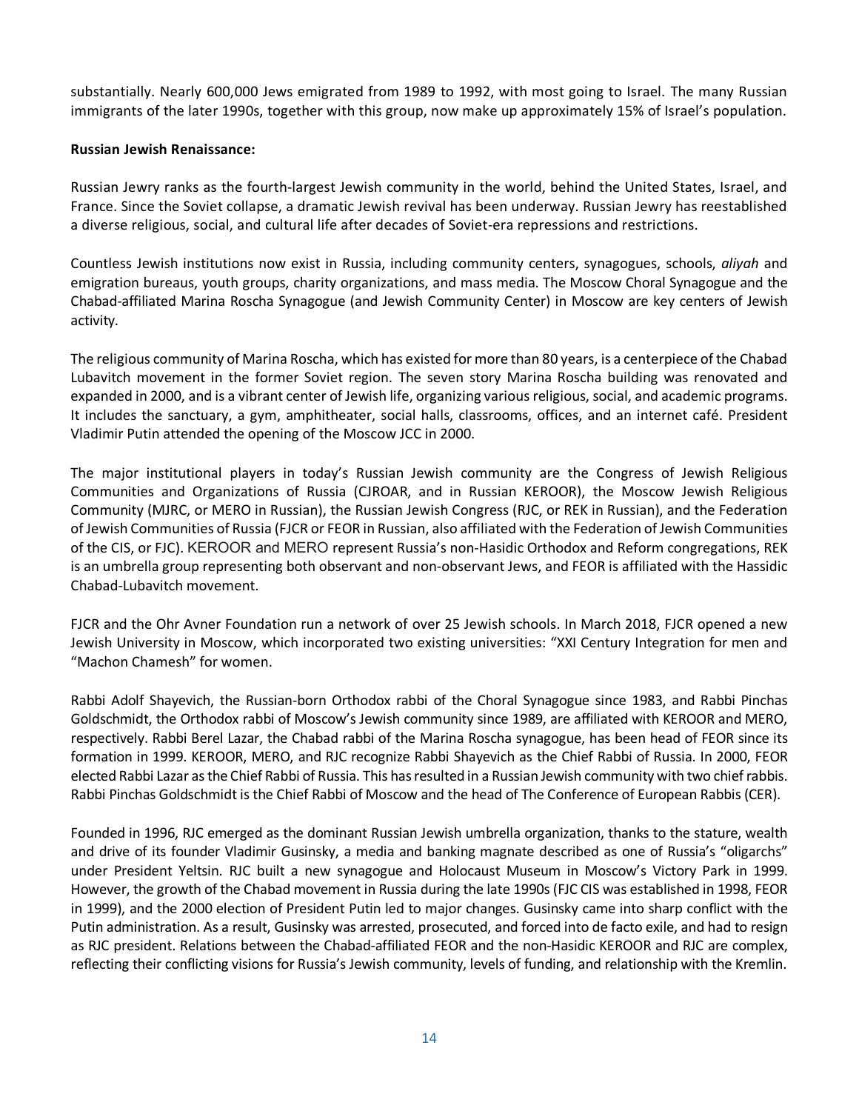substantially. Nearly 600,000 Jews emigrated from 1989 to 1992, with most going to Israel. The many Russian immigrants of the later 1990s, together with this group, now make up approximately 15% of Israel's population.

### **Russian Jewish Renaissance:**

Russian Jewry ranks as the fourth-largest Jewish community in the world, behind the United States, Israel, and France. Since the Soviet collapse, a dramatic Jewish revival has been underway. Russian Jewry has reestablished a diverse religious, social, and cultural life after decades of Soviet-era repressions and restrictions.

Countless Jewish institutions now exist in Russia, including community centers, synagogues, schools, *aliyah* and emigration bureaus, youth groups, charity organizations, and mass media. The Moscow Choral Synagogue and the Chabad-affiliated Marina Roscha Synagogue (and Jewish Community Center) in Moscow are key centers of Jewish activity.

The religious community of Marina Roscha, which has existed for more than 80 years, is a centerpiece of the [Chabad](http://en.wikipedia.org/w/index.php?title=%D0%A1habad&action=edit&redlink=1) Lubavitch movement in the former Soviet region. The seven story Marina Roscha building was renovated and expanded in 2000, and is a vibrant center of Jewish life, organizing various religious, social, and academic programs. It includes the sanctuary, a gym, amphitheater, social halls, classrooms, offices, and an internet café. President Vladimir Putin attended the opening of the Moscow JCC in 2000.

The major institutional players in today's Russian Jewish community are the Congress of Jewish Religious Communities and Organizations of Russia (CJROAR, and in Russian KEROOR), the Moscow Jewish Religious Community (MJRC, or MERO in Russian), the Russian Jewish Congress (RJC, or REK in Russian), and the Federation of Jewish Communities of Russia (FJCR or FEOR in Russian, also affiliated with the Federation of Jewish Communities of the CIS, or FJC). KEROOR and MERO represent Russia's non-Hasidic Orthodox and Reform congregations, REK is an umbrella group representing both observant and non-observant Jews, and FEOR is affiliated with the Hassidic Chabad-Lubavitch movement.

FJCR and the Ohr Avner Foundation run a network of over 25 Jewish schools. In March 2018, FJCR opened a new Jewish University in Moscow, which incorporated two existing universities: "XXI Century Integration for men and "Machon Chamesh" for women.

Rabbi Adolf Shayevich, the Russian-born Orthodox rabbi of the Choral Synagogue since 1983, and Rabbi Pinchas Goldschmidt, the Orthodox rabbi of Moscow's Jewish community since 1989, are affiliated with KEROOR and MERO, respectively. Rabbi Berel Lazar, the Chabad rabbi of the Marina Roscha synagogue, has been head of FEOR since its formation in 1999. KEROOR, MERO, and RJC recognize Rabbi Shayevich as the Chief Rabbi of Russia. In 2000, FEOR elected Rabbi Lazar as the Chief Rabbi of Russia. This has resulted in a Russian Jewish community with two chief rabbis. Rabbi Pinchas Goldschmidt is the Chief Rabbi of Moscow and the head of The Conference of European Rabbis (CER).

Founded in 1996, RJC emerged as the dominant Russian Jewish umbrella organization, thanks to the stature, wealth and drive of its founder Vladimir Gusinsky, a media and banking magnate described as one of Russia's "oligarchs" under President Yeltsin. RJC built a new synagogue and Holocaust Museum in Moscow's Victory Park in 1999. However, the growth of the Chabad movement in Russia during the late 1990s (FJC CIS was established in 1998, FEOR in 1999), and the 2000 election of President Putin led to major changes. Gusinsky came into sharp conflict with the Putin administration. As a result, Gusinsky was arrested, prosecuted, and forced into de facto exile, and had to resign as RJC president. Relations between the Chabad-affiliated FEOR and the non-Hasidic KEROOR and RJC are complex, reflecting their conflicting visions for Russia's Jewish community, levels of funding, and relationship with the Kremlin.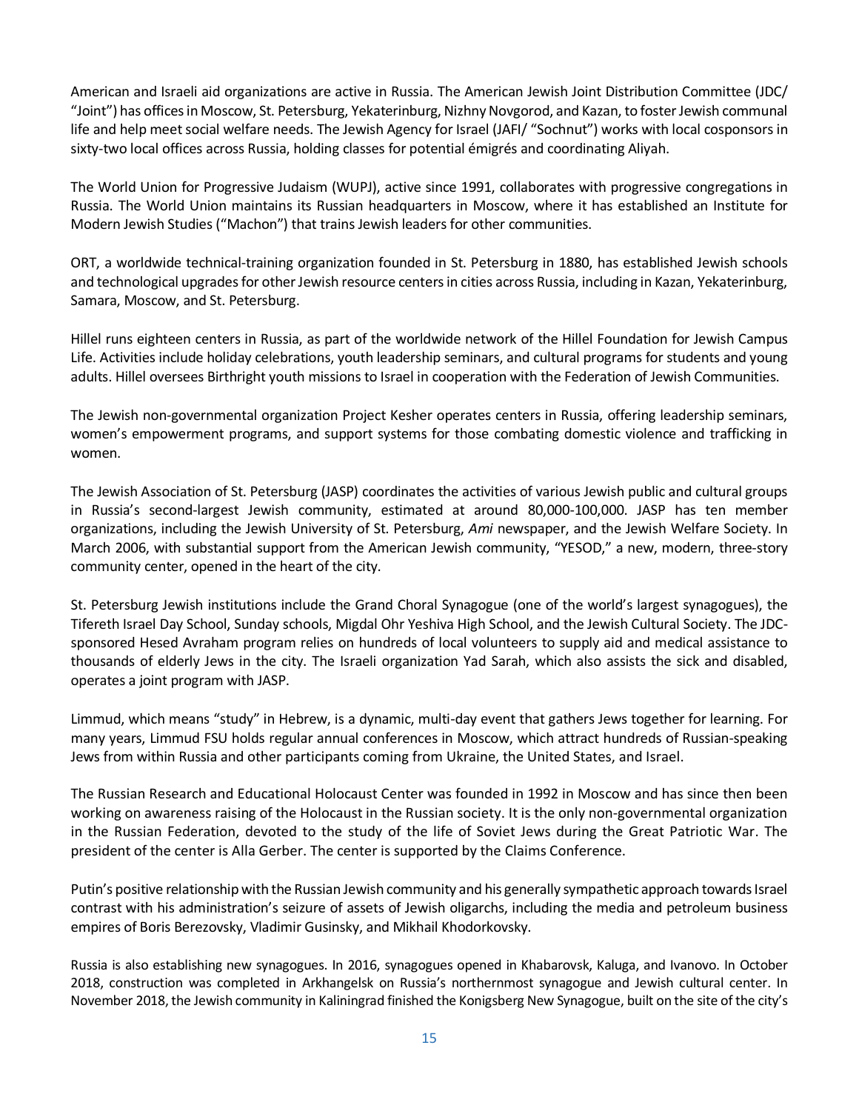American and Israeli aid organizations are active in Russia. The American Jewish Joint Distribution Committee (JDC/ "Joint") has offices in Moscow, St. Petersburg, Yekaterinburg, Nizhny Novgorod, and Kazan, to foster Jewish communal life and help meet social welfare needs. The Jewish Agency for Israel (JAFI/ "Sochnut") works with local cosponsors in sixty-two local offices across Russia, holding classes for potential émigrés and coordinating Aliyah.

The World Union for Progressive Judaism (WUPJ), active since 1991, collaborates with progressive congregations in Russia. The World Union maintains its Russian headquarters in Moscow, where it has established an Institute for Modern Jewish Studies ("Machon") that trains Jewish leaders for other communities.

ORT, a worldwide technical-training organization founded in St. Petersburg in 1880, has established Jewish schools and technological upgrades for other Jewish resource centers in cities across Russia, including in Kazan, Yekaterinburg, Samara, Moscow, and St. Petersburg.

Hillel runs eighteen centers in Russia, as part of the worldwide network of the Hillel Foundation for Jewish Campus Life. Activities include holiday celebrations, youth leadership seminars, and cultural programs for students and young adults. Hillel oversees Birthright youth missions to Israel in cooperation with the Federation of Jewish Communities.

The Jewish non-governmental organization Project Kesher operates centers in Russia, offering leadership seminars, women's empowerment programs, and support systems for those combating domestic violence and trafficking in women.

The Jewish Association of St. Petersburg (JASP) coordinates the activities of various Jewish public and cultural groups in Russia's second-largest Jewish community, estimated at around 80,000-100,000. JASP has ten member organizations, including the Jewish University of St. Petersburg, *Ami* newspaper, and the Jewish Welfare Society. In March 2006, with substantial support from the American Jewish community, "YESOD," a new, modern, three-story community center, opened in the heart of the city.

St. Petersburg Jewish institutions include the Grand Choral Synagogue (one of the world's largest synagogues), the Tifereth Israel Day School, Sunday schools, Migdal Ohr Yeshiva High School, and the Jewish Cultural Society. The JDCsponsored Hesed Avraham program relies on hundreds of local volunteers to supply aid and medical assistance to thousands of elderly Jews in the city. The Israeli organization Yad Sarah, which also assists the sick and disabled, operates a joint program with JASP.

Limmud, which means "study" in Hebrew, is a dynamic, multi-day event that gathers Jews together for learning. For many years, Limmud FSU holds regular annual conferences in Moscow, which attract hundreds of Russian-speaking Jews from within Russia and other participants coming from Ukraine, the United States, and Israel.

The Russian Research and Educational Holocaust Center was founded in 1992 in Moscow and has since then been working on awareness raising of the Holocaust in the Russian society. It is the only non-governmental organization in the Russian Federation, devoted to the study of the life of Soviet Jews during the Great Patriotic War. The president of the center is Alla Gerber. The center is supported by the Claims Conference.

Putin's positive relationship with the Russian Jewish community and his generally sympathetic approach towards Israel contrast with his administration's seizure of assets of Jewish oligarchs, including the media and petroleum business empires of Boris Berezovsky, Vladimir Gusinsky, and Mikhail Khodorkovsky.

Russia is also establishing new synagogues. In 2016, synagogues opened in Khabarovsk, Kaluga, and Ivanovo. In October 2018, construction was completed in Arkhangelsk on Russia's northernmost synagogue and Jewish cultural center. In November 2018, the Jewish community in Kaliningrad finished the Konigsberg New Synagogue, built on the site of the city's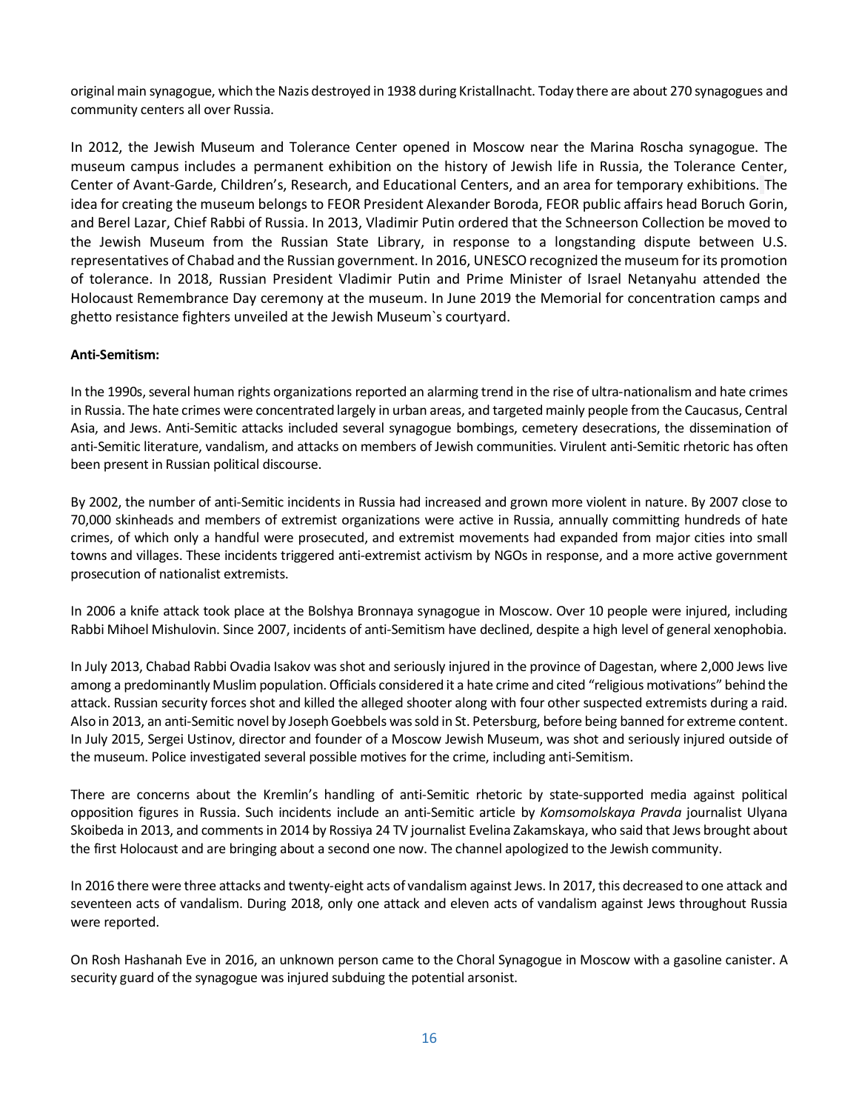original main synagogue, which the Nazis destroyed in 1938 during Kristallnacht. Today there are about 270 synagogues and community centers all over Russia.

In 2012, the Jewish Museum and Tolerance Center opened in Moscow near the Marina Roscha synagogue. The museum campus includes a permanent exhibition on the history of Jewish life in Russia, the Tolerance Center, Center of Avant-Garde, Children's, Research, and Educational Centers, and an area for temporary exhibitions. The idea for creating the museum belongs to FEOR President Alexander Boroda, FEOR public affairs head Boruch Gorin, and Berel Lazar, Chief Rabbi of Russia. In 2013, Vladimir Putin ordered that the Schneerson Collection be moved to the Jewish Museum from the Russian State Library, in response to a longstanding dispute between U.S. representatives of Chabad and the Russian government. In 2016, UNESCO recognized the museum for its promotion of tolerance. In 2018, Russian President Vladimir Putin and Prime Minister of Israel Netanyahu attended the Holocaust Remembrance Day ceremony at the museum. In June 2019 the Memorial for concentration camps and ghetto resistance fighters unveiled at the Jewish Museum`s courtyard.

## **Anti-Semitism:**

In the 1990s, several human rights organizations reported an alarming trend in the rise of ultra-nationalism and hate crimes in Russia. The hate crimes were concentrated largely in urban areas, and targeted mainly people from the Caucasus, Central Asia, and Jews. Anti-Semitic attacks included several synagogue bombings, cemetery desecrations, the dissemination of anti-Semitic literature, vandalism, and attacks on members of Jewish communities. Virulent anti-Semitic rhetoric has often been present in Russian political discourse.

By 2002, the number o[f anti-Semitic incidents in Russia](http://www.adl.org/Anti_semitism/Russia_AntiSem_Rise.asp) had increased and grown more violent in nature. By 2007 close to 70,000 skinheads and members of extremist organizations were active in Russia, annually committing hundreds of hate crimes, of which only a handful were prosecuted, and extremist movements had expanded from major cities into small towns and villages. These incidents triggered anti-extremist activism by NGOs in response, and a more active government prosecution of nationalist extremists.

In 2006 a knife attack took place at the Bolshya Bronnaya synagogue in Moscow. Over 10 people were injured, including Rabbi Mihoel Mishulovin. Since 2007, incidents of anti-Semitism have declined, despite a high level of general xenophobia.

In July 2013, Chabad Rabbi Ovadia Isakov was shot and seriously injured in the province of Dagestan, where 2,000 Jews live among a predominantly Muslim population. Officials considered it a hate crime and cited "religious motivations" behind the attack. Russian security forces shot and killed the alleged shooter along with four other suspected extremists during a raid. Also in 2013, an anti-Semitic novel by Joseph Goebbels wassold in St. Petersburg, before being banned for extreme content. In July 2015, Sergei Ustinov, director and founder of a Moscow Jewish Museum, was shot and seriously injured outside of the museum. Police investigated several possible motives for the crime, including anti-Semitism.

There are concerns about the Kremlin's handling of anti-Semitic rhetoric by state-supported media against political opposition figures in Russia. Such incidents include an anti-Semitic article by *Komsomolskaya Pravda* journalist Ulyana Skoibeda in 2013, and comments in 2014 by Rossiya 24 TV journalist Evelina Zakamskaya, who said that Jews brought about the first Holocaust and are bringing about a second one now. The channel apologized to the Jewish community.

In 2016 there were three attacks and twenty-eight acts of vandalism against Jews. In 2017, this decreased to one attack and seventeen acts of vandalism. During 2018, only one attack and eleven acts of vandalism against Jews throughout Russia were reported.

On Rosh Hashanah Eve in 2016, an unknown person came to the Choral Synagogue in Moscow with a gasoline canister. A security guard of the synagogue was injured subduing the potential arsonist.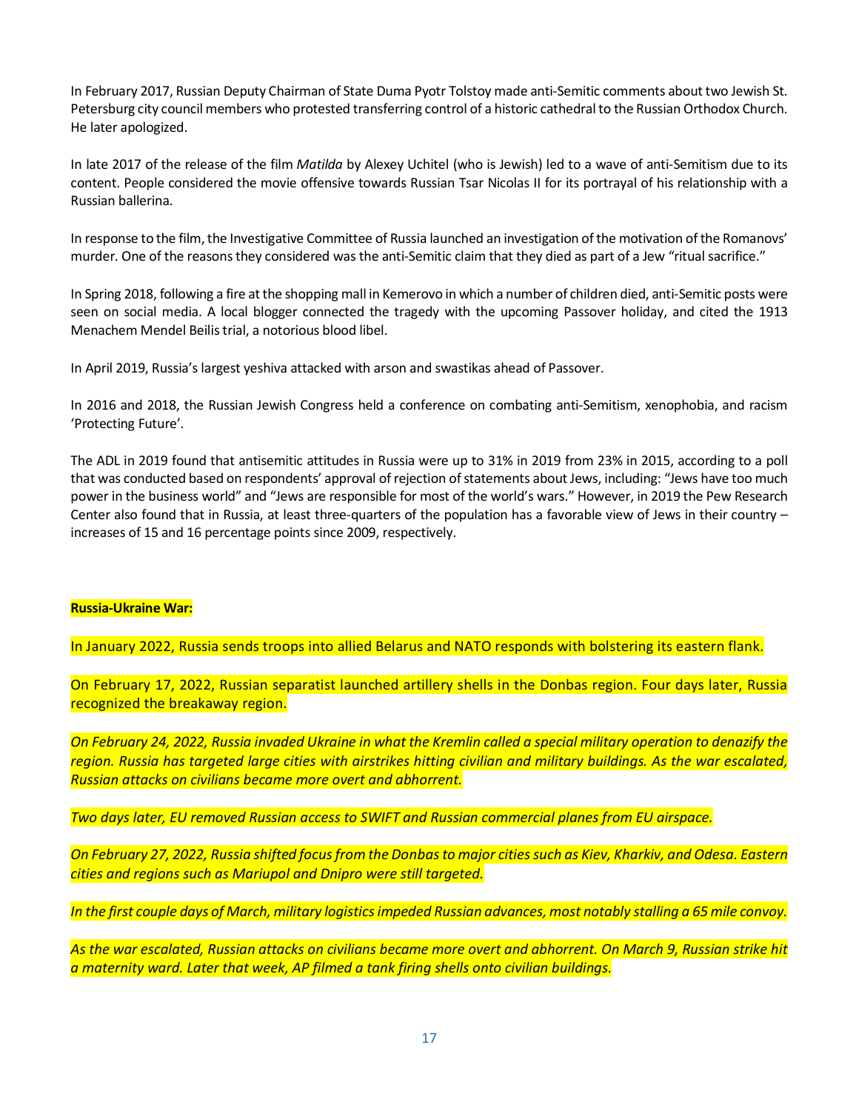In February 2017, Russian Deputy Chairman of State Duma Pyotr Tolstoy made anti-Semitic comments about two Jewish St. Petersburg city council members who protested transferring control of a historic cathedral to the Russian Orthodox Church. He later apologized.

In late 2017 of the release of the film *Matilda* by Alexey Uchitel (who is Jewish) led to a wave of anti-Semitism due to its content. People considered the movie offensive towards Russian Tsar Nicolas II for its portrayal of his relationship with a Russian ballerina.

In response to the film, the Investigative Committee of Russia launched an investigation of the motivation of the Romanovs' murder. One of the reasons they considered was the anti-Semitic claim that they died as part of a Jew "ritual sacrifice."

In Spring 2018, following a fire at the shopping mall in Kemerovo in which a number of children died, anti-Semitic posts were seen on social media. A local blogger connected the tragedy with the upcoming Passover holiday, and cited the 1913 Menachem Mendel Beilis trial, a notorious blood libel.

In April 2019, Russia's largest yeshiva attacked with arson and swastikas ahead of Passover.

In 2016 and 2018, the Russian Jewish Congress held a conference on combating anti-Semitism, xenophobia, and racism 'Protecting Future'.

The ADL in 2019 found that antisemitic attitudes in Russia were up to 31% in 2019 from 23% in 2015, according to a poll that was conducted based on respondents' approval of rejection of statements about Jews, including: "Jews have too much power in the business world" and "Jews are responsible for most of the world's wars." However, in 2019 the Pew Research Center also found that in Russia, at least three-quarters of the population has a favorable view of Jews in their country – increases of 15 and 16 percentage points since 2009, respectively.

### **Russia-Ukraine War:**

In January 2022, Russia sends troops into allied Belarus and NATO responds with bolstering its eastern flank.

On February 17, 2022, Russian separatist launched artillery shells in the Donbas region. Four days later, Russia recognized the breakaway region.

*On February 24, 2022, Russia invaded Ukraine in what the Kremlin called a special military operation to denazify the region. Russia has targeted large cities with airstrikes hitting civilian and military buildings. As the war escalated, Russian attacks on civilians became more overt and abhorrent.* 

*Two days later, EU removed Russian access to SWIFT and Russian commercial planes from EU airspace.*

*On February 27, 2022, Russia shifted focus from the Donbas to major cities such as Kiev, Kharkiv, and Odesa. Eastern cities and regions such as Mariupol and Dnipro were still targeted.* 

*In the first couple days of March, military logistics impeded Russian advances, most notably stalling a 65 mile convoy.* 

*As the war escalated, Russian attacks on civilians became more overt and abhorrent. On March 9, Russian strike hit a maternity ward. Later that week, AP filmed a tank firing shells onto civilian buildings.*